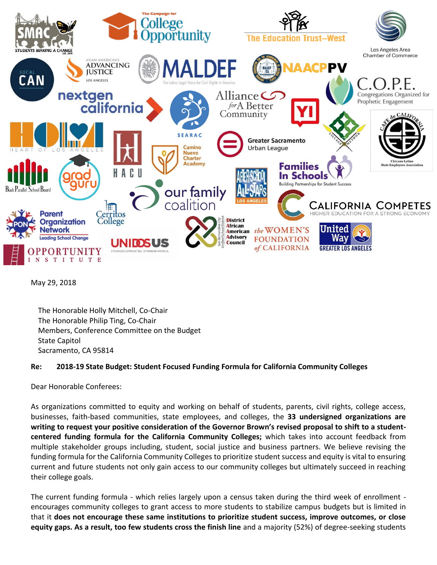

May 29, 2018

The Honorable Holly Mitchell, Co-Chair The Honorable Philip Ting, Co-Chair Members, Conference Committee on the Budget State Capitol Sacramento, CA 95814

## **Re: 2018-19 State Budget: Student Focused Funding Formula for California Community Colleges**

Dear Honorable Conferees:

As organizations committed to equity and working on behalf of students, parents, civil rights, college access, businesses, faith-based communities, state employees, and colleges, the **33 undersigned organizations are writing to request your positive consideration of the Governor Brown's revised proposal to shift to a studentcentered funding formula for the California Community Colleges;** which takes into account feedback from multiple stakeholder groups including, student, social justice and business partners. We believe revising the funding formula for the California Community Colleges to prioritize student success and equity is vital to ensuring current and future students not only gain access to our community colleges but ultimately succeed in reaching their college goals.

The current funding formula - which relies largely upon a census taken during the third week of enrollment encourages community colleges to grant access to more students to stabilize campus budgets but is limited in that it **does not encourage these same institutions to prioritize student success, improve outcomes, or close equity gaps. As a result, too few students cross the finish line** and a majority (52%) of degree-seeking students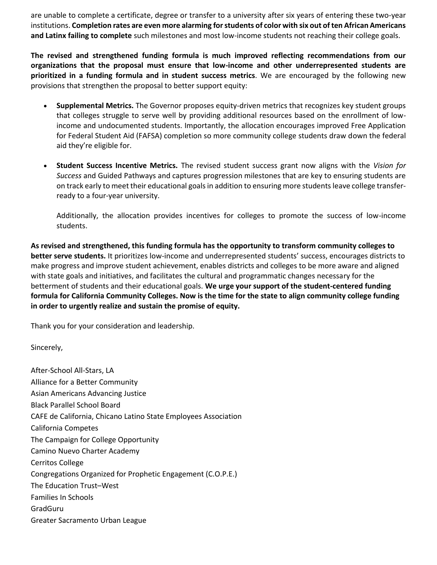are unable to complete a certificate, degree or transfer to a university after six years of entering these two-year institutions. **Completion rates are even more alarming for students of color with six out of ten African Americans and Latinx failing to complete** such milestones and most low-income students not reaching their college goals.

**The revised and strengthened funding formula is much improved reflecting recommendations from our organizations that the proposal must ensure that low-income and other underrepresented students are prioritized in a funding formula and in student success metrics**. We are encouraged by the following new provisions that strengthen the proposal to better support equity:

- **Supplemental Metrics.** The Governor proposes equity-driven metrics that recognizes key student groups that colleges struggle to serve well by providing additional resources based on the enrollment of lowincome and undocumented students. Importantly, the allocation encourages improved Free Application for Federal Student Aid (FAFSA) completion so more community college students draw down the federal aid they're eligible for.
- **Student Success Incentive Metrics.** The revised student success grant now aligns with the *Vision for Success* and Guided Pathways and captures progression milestones that are key to ensuring students are on track early to meet their educational goals in addition to ensuring more students leave college transferready to a four-year university.

Additionally, the allocation provides incentives for colleges to promote the success of low-income students.

**As revised and strengthened, this funding formula has the opportunity to transform community colleges to better serve students.** It prioritizes low-income and underrepresented students' success, encourages districts to make progress and improve student achievement, enables districts and colleges to be more aware and aligned with state goals and initiatives, and facilitates the cultural and programmatic changes necessary for the betterment of students and their educational goals. **We urge your support of the student-centered funding formula for California Community Colleges. Now is the time for the state to align community college funding in order to urgently realize and sustain the promise of equity.** 

Thank you for your consideration and leadership.

Sincerely,

After-School All-Stars, LA Alliance for a Better Community Asian Americans Advancing Justice Black Parallel School Board CAFE de California, Chicano Latino State Employees Association California Competes The Campaign for College Opportunity Camino Nuevo Charter Academy Cerritos College Congregations Organized for Prophetic Engagement (C.O.P.E.) The Education Trust–West Families In Schools GradGuru Greater Sacramento Urban League